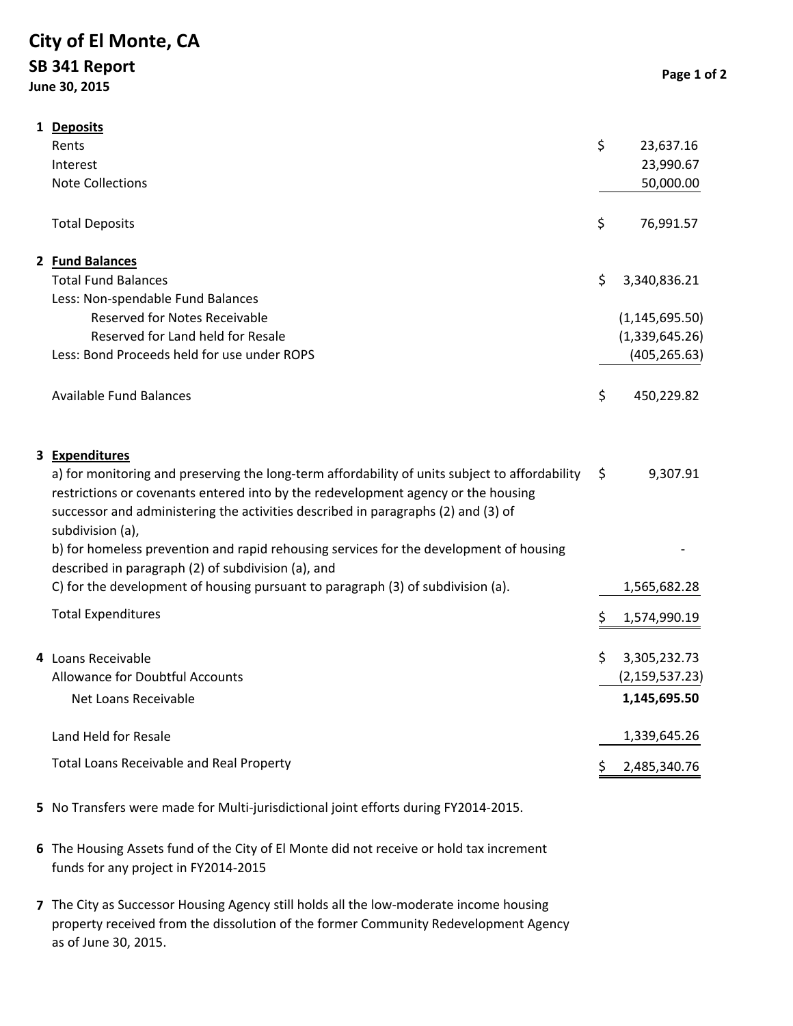## **City of El Monte, CA SB 341 Report June 30, 2015**

|  | 1 Deposits                                                                                                                                                                                                                                                                                                     |                    |
|--|----------------------------------------------------------------------------------------------------------------------------------------------------------------------------------------------------------------------------------------------------------------------------------------------------------------|--------------------|
|  | Rents                                                                                                                                                                                                                                                                                                          | \$<br>23,637.16    |
|  | Interest                                                                                                                                                                                                                                                                                                       | 23,990.67          |
|  | <b>Note Collections</b>                                                                                                                                                                                                                                                                                        | 50,000.00          |
|  | <b>Total Deposits</b>                                                                                                                                                                                                                                                                                          | \$<br>76,991.57    |
|  | 2 Fund Balances                                                                                                                                                                                                                                                                                                |                    |
|  | <b>Total Fund Balances</b>                                                                                                                                                                                                                                                                                     | \$<br>3,340,836.21 |
|  | Less: Non-spendable Fund Balances                                                                                                                                                                                                                                                                              |                    |
|  | <b>Reserved for Notes Receivable</b>                                                                                                                                                                                                                                                                           | (1, 145, 695.50)   |
|  | Reserved for Land held for Resale                                                                                                                                                                                                                                                                              | (1,339,645.26)     |
|  | Less: Bond Proceeds held for use under ROPS                                                                                                                                                                                                                                                                    | (405, 265.63)      |
|  | <b>Available Fund Balances</b>                                                                                                                                                                                                                                                                                 | \$<br>450,229.82   |
|  | 3 Expenditures<br>a) for monitoring and preserving the long-term affordability of units subject to affordability<br>restrictions or covenants entered into by the redevelopment agency or the housing<br>successor and administering the activities described in paragraphs (2) and (3) of<br>subdivision (a), | \$<br>9,307.91     |
|  | b) for homeless prevention and rapid rehousing services for the development of housing<br>described in paragraph (2) of subdivision (a), and                                                                                                                                                                   |                    |
|  | C) for the development of housing pursuant to paragraph (3) of subdivision (a).                                                                                                                                                                                                                                | 1,565,682.28       |
|  | <b>Total Expenditures</b>                                                                                                                                                                                                                                                                                      | \$<br>1,574,990.19 |
|  | 4 Loans Receivable                                                                                                                                                                                                                                                                                             | \$<br>3,305,232.73 |
|  | Allowance for Doubtful Accounts                                                                                                                                                                                                                                                                                | (2, 159, 537.23)   |
|  | Net Loans Receivable                                                                                                                                                                                                                                                                                           | 1,145,695.50       |
|  | Land Held for Resale                                                                                                                                                                                                                                                                                           | 1,339,645.26       |
|  | Total Loans Receivable and Real Property                                                                                                                                                                                                                                                                       | \$<br>2,485,340.76 |

- **5** No Transfers were made for Multi‐jurisdictional joint efforts during FY2014‐2015.
- **6** The Housing Assets fund of the City of El Monte did not receive or hold tax increment funds for any project in FY2014‐2015
- **7** The City as Successor Housing Agency still holds all the low‐moderate income housing property received from the dissolution of the former Community Redevelopment Agency as of June 30, 2015.